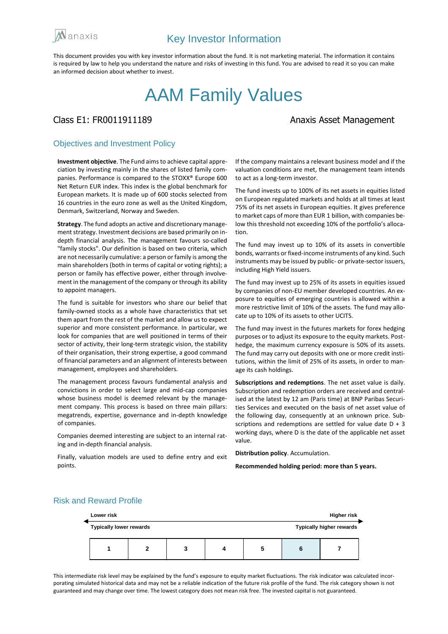

This document provides you with key investor information about the fund. It is not marketing material. The information it contains is required by law to help you understand the nature and risks of investing in this fund. You are advised to read it so you can make an informed decision about whether to invest.

# AAM Family Values

## Class E1: FR0011911189 **Anaxis Asset Management**

### Objectives and Investment Policy

**Investment objective**. The Fund aims to achieve capital appreciation by investing mainly in the shares of listed family companies. Performance is compared to the STOXX® Europe 600 Net Return EUR index. This index is the global benchmark for European markets. It is made up of 600 stocks selected from 16 countries in the euro zone as well as the United Kingdom, Denmark, Switzerland, Norway and Sweden.

**Strategy**. The fund adopts an active and discretionary management strategy. Investment decisions are based primarily on indepth financial analysis. The management favours so-called "family stocks". Our definition is based on two criteria, which are not necessarily cumulative: a person or family is among the main shareholders (both in terms of capital or voting rights); a person or family has effective power, either through involvement in the management of the company or through its ability to appoint managers.

The fund is suitable for investors who share our belief that family-owned stocks as a whole have characteristics that set them apart from the rest of the market and allow us to expect superior and more consistent performance. In particular, we look for companies that are well positioned in terms of their sector of activity, their long-term strategic vision, the stability of their organisation, their strong expertise, a good command of financial parameters and an alignment of interests between management, employees and shareholders.

The management process favours fundamental analysis and convictions in order to select large and mid-cap companies whose business model is deemed relevant by the management company. This process is based on three main pillars: megatrends, expertise, governance and in-depth knowledge of companies.

Companies deemed interesting are subject to an internal rating and in-depth financial analysis.

Finally, valuation models are used to define entry and exit points.

If the company maintains a relevant business model and if the valuation conditions are met, the management team intends to act as a long-term investor.

The fund invests up to 100% of its net assets in equities listed on European regulated markets and holds at all times at least 75% of its net assets in European equities. It gives preference to market caps of more than EUR 1 billion, with companies below this threshold not exceeding 10% of the portfolio's allocation.

The fund may invest up to 10% of its assets in convertible bonds, warrants or fixed-income instruments of any kind. Such instruments may be issued by public- or private-sector issuers, including High Yield issuers.

The fund may invest up to 25% of its assets in equities issued by companies of non-EU member developed countries. An exposure to equities of emerging countries is allowed within a more restrictive limit of 10% of the assets. The fund may allocate up to 10% of its assets to other UCITS.

The fund may invest in the futures markets for forex hedging purposes or to adjust its exposure to the equity markets. Posthedge, the maximum currency exposure is 50% of its assets. The fund may carry out deposits with one or more credit institutions, within the limit of 25% of its assets, in order to manage its cash holdings.

**Subscriptions and redemptions**. The net asset value is daily. Subscription and redemption orders are received and centralised at the latest by 12 am (Paris time) at BNP Paribas Securities Services and executed on the basis of net asset value of the following day, consequently at an unknown price. Subscriptions and redemptions are settled for value date D + 3 working days, where D is the date of the applicable net asset value.

**Distribution policy**. Accumulation.

**Recommended holding period: more than 5 years.**

# **Lower risk Higher risk Typically lower rewards Typically higher rewards 1 2 3 4 5 6 7**

Risk and Reward Profile

This intermediate risk level may be explained by the fund's exposure to equity market fluctuations. The risk indicator was calculated incorporating simulated historical data and may not be a reliable indication of the future risk profile of the fund. The risk category shown is not guaranteed and may change over time. The lowest category does not mean risk free. The invested capital is not guaranteed.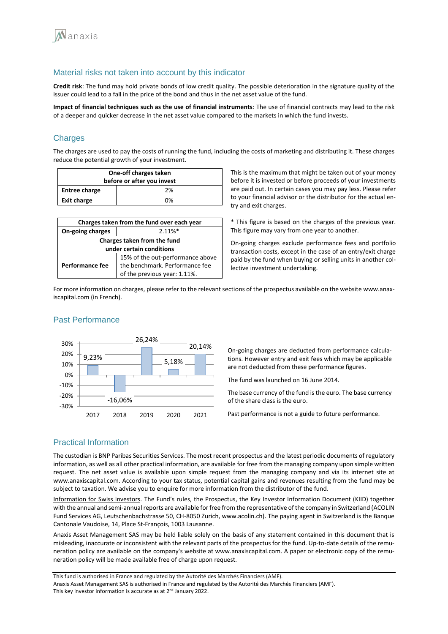

### Material risks not taken into account by this indicator

**Credit risk**: The fund may hold private bonds of low credit quality. The possible deterioration in the signature quality of the issuer could lead to a fall in the price of the bond and thus in the net asset value of the fund.

**Impact of financial techniques such as the use of financial instruments**: The use of financial contracts may lead to the risk of a deeper and quicker decrease in the net asset value compared to the markets in which the fund invests.

### **Charges**

The charges are used to pay the costs of running the fund, including the costs of marketing and distributing it. These charges reduce the potential growth of your investment.

| One-off charges taken<br>before or after you invest |    |  |
|-----------------------------------------------------|----|--|
| <b>Entree charge</b>                                | 2% |  |
| <b>Exit charge</b>                                  | በ% |  |

| Charges taken from the fund over each year |                                  |  |
|--------------------------------------------|----------------------------------|--|
| On-going charges                           | $2.11\%*$                        |  |
| Charges taken from the fund                |                                  |  |
| under certain conditions                   |                                  |  |
|                                            | 15% of the out-performance above |  |
| Performance fee                            | the benchmark. Performance fee   |  |
|                                            | of the previous year: 1.11%.     |  |

This is the maximum that might be taken out of your money before it is invested or before proceeds of your investments are paid out. In certain cases you may pay less. Please refer to your financial advisor or the distributor for the actual entry and exit charges.

\* This figure is based on the charges of the previous year. This figure may vary from one year to another.

On-going charges exclude performance fees and portfolio transaction costs, except in the case of an entry/exit charge paid by the fund when buying or selling units in another collective investment undertaking.

For more information on charges, please refer to the relevant sections of the prospectus available on the website www.anaxiscapital.com (in French).

#### 9,23% 26,24% 20% 30%

Past Performance



On-going charges are deducted from performance calculations. However entry and exit fees which may be applicable are not deducted from these performance figures.

The fund was launched on 16 June 2014.

The base currency of the fund is the euro. The base currency of the share class is the euro.

Past performance is not a guide to future performance.

# Practical Information

The custodian is BNP Paribas Securities Services. The most recent prospectus and the latest periodic documents of regulatory information, as well as all other practical information, are available for free from the managing company upon simple written request. The net asset value is available upon simple request from the managing company and via its internet site at www.anaxiscapital.com. According to your tax status, potential capital gains and revenues resulting from the fund may be subject to taxation. We advise you to enquire for more information from the distributor of the fund.

Information for Swiss investors. The Fund's rules, the Prospectus, the Key Investor Information Document (KIID) together with the annual and semi-annual reports are available for free from the representative of the company in Switzerland (ACOLIN Fund Services AG, Leutschenbachstrasse 50, CH-8050 Zurich, www.acolin.ch). The paying agent in Switzerland is the Banque Cantonale Vaudoise, 14, Place St-François, 1003 Lausanne.

Anaxis Asset Management SAS may be held liable solely on the basis of any statement contained in this document that is misleading, inaccurate or inconsistent with the relevant parts of the prospectus for the fund. Up-to-date details of the remuneration policy are available on the company's website at www.anaxiscapital.com. A paper or electronic copy of the remuneration policy will be made available free of charge upon request.

This fund is authorised in France and regulated by the Autorité des Marchés Financiers (AMF). Anaxis Asset Management SAS is authorised in France and regulated by the Autorité des Marchés Financiers (AMF). This key investor information is accurate as at 2<sup>nd</sup> January 2022.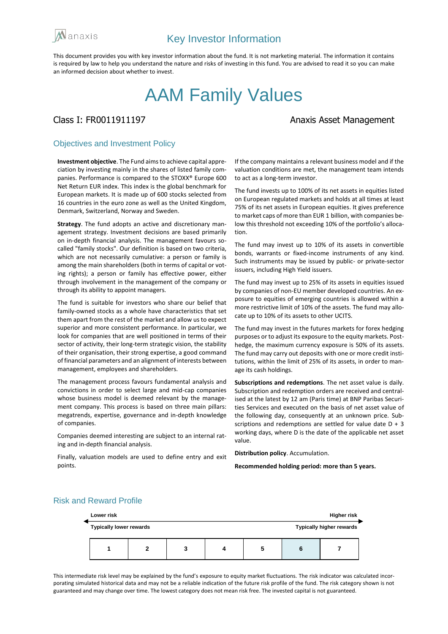

This document provides you with key investor information about the fund. It is not marketing material. The information it contains is required by law to help you understand the nature and risks of investing in this fund. You are advised to read it so you can make an informed decision about whether to invest.

# AAM Family Values

## Class I: FR0011911197 **Anaxis Asset Management**

### Objectives and Investment Policy

**Investment objective**. The Fund aims to achieve capital appreciation by investing mainly in the shares of listed family companies. Performance is compared to the STOXX® Europe 600 Net Return EUR index. This index is the global benchmark for European markets. It is made up of 600 stocks selected from 16 countries in the euro zone as well as the United Kingdom, Denmark, Switzerland, Norway and Sweden.

**Strategy**. The fund adopts an active and discretionary management strategy. Investment decisions are based primarily on in-depth financial analysis. The management favours socalled "family stocks". Our definition is based on two criteria, which are not necessarily cumulative: a person or family is among the main shareholders (both in terms of capital or voting rights); a person or family has effective power, either through involvement in the management of the company or through its ability to appoint managers.

The fund is suitable for investors who share our belief that family-owned stocks as a whole have characteristics that set them apart from the rest of the market and allow us to expect superior and more consistent performance. In particular, we look for companies that are well positioned in terms of their sector of activity, their long-term strategic vision, the stability of their organisation, their strong expertise, a good command of financial parameters and an alignment of interests between management, employees and shareholders.

The management process favours fundamental analysis and convictions in order to select large and mid-cap companies whose business model is deemed relevant by the management company. This process is based on three main pillars: megatrends, expertise, governance and in-depth knowledge of companies.

Companies deemed interesting are subject to an internal rating and in-depth financial analysis.

Finally, valuation models are used to define entry and exit points.

If the company maintains a relevant business model and if the valuation conditions are met, the management team intends to act as a long-term investor.

The fund invests up to 100% of its net assets in equities listed on European regulated markets and holds at all times at least 75% of its net assets in European equities. It gives preference to market caps of more than EUR 1 billion, with companies below this threshold not exceeding 10% of the portfolio's allocation.

The fund may invest up to 10% of its assets in convertible bonds, warrants or fixed-income instruments of any kind. Such instruments may be issued by public- or private-sector issuers, including High Yield issuers.

The fund may invest up to 25% of its assets in equities issued by companies of non-EU member developed countries. An exposure to equities of emerging countries is allowed within a more restrictive limit of 10% of the assets. The fund may allocate up to 10% of its assets to other UCITS.

The fund may invest in the futures markets for forex hedging purposes or to adjust its exposure to the equity markets. Posthedge, the maximum currency exposure is 50% of its assets. The fund may carry out deposits with one or more credit institutions, within the limit of 25% of its assets, in order to manage its cash holdings.

**Subscriptions and redemptions**. The net asset value is daily. Subscription and redemption orders are received and centralised at the latest by 12 am (Paris time) at BNP Paribas Securities Services and executed on the basis of net asset value of the following day, consequently at an unknown price. Subscriptions and redemptions are settled for value date  $D + 3$ working days, where D is the date of the applicable net asset value.

**Distribution policy**. Accumulation.

**Recommended holding period: more than 5 years.**

# **Lower risk Higher risk Typically lower rewards Typically higher rewards 1 2 3 4 5 6 7**

Risk and Reward Profile

This intermediate risk level may be explained by the fund's exposure to equity market fluctuations. The risk indicator was calculated incorporating simulated historical data and may not be a reliable indication of the future risk profile of the fund. The risk category shown is not guaranteed and may change over time. The lowest category does not mean risk free. The invested capital is not guaranteed.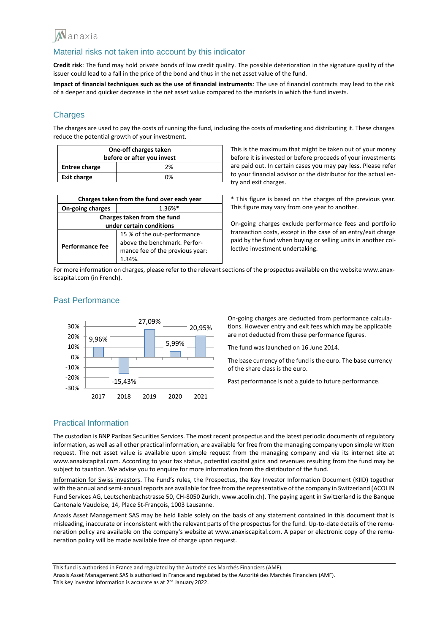

#### Material risks not taken into account by this indicator

**Credit risk**: The fund may hold private bonds of low credit quality. The possible deterioration in the signature quality of the issuer could lead to a fall in the price of the bond and thus in the net asset value of the fund.

**Impact of financial techniques such as the use of financial instruments**: The use of financial contracts may lead to the risk of a deeper and quicker decrease in the net asset value compared to the markets in which the fund invests.

### **Charges**

The charges are used to pay the costs of running the fund, including the costs of marketing and distributing it. These charges reduce the potential growth of your investment.

| One-off charges taken<br>before or after you invest |    |  |
|-----------------------------------------------------|----|--|
| <b>Entree charge</b>                                | 2% |  |
| <b>Exit charge</b>                                  | በ% |  |

| Charges taken from the fund over each year |                                 |  |
|--------------------------------------------|---------------------------------|--|
| On-going charges                           | $1.36\%*$                       |  |
| Charges taken from the fund                |                                 |  |
| under certain conditions                   |                                 |  |
|                                            | 15 % of the out-performance     |  |
| Performance fee                            | above the benchmark. Perfor-    |  |
|                                            | mance fee of the previous year: |  |
|                                            | 1.34%                           |  |

This is the maximum that might be taken out of your money before it is invested or before proceeds of your investments are paid out. In certain cases you may pay less. Please refer to your financial advisor or the distributor for the actual entry and exit charges.

\* This figure is based on the charges of the previous year. This figure may vary from one year to another.

On-going charges exclude performance fees and portfolio transaction costs, except in the case of an entry/exit charge paid by the fund when buying or selling units in another collective investment undertaking.

For more information on charges, please refer to the relevant sections of the prospectus available on the website www.anaxiscapital.com (in French).



#### Past Performance

On-going charges are deducted from performance calculations. However entry and exit fees which may be applicable are not deducted from these performance figures.

The fund was launched on 16 June 2014.

The base currency of the fund is the euro. The base currency of the share class is the euro.

Past performance is not a guide to future performance.

#### Practical Information

The custodian is BNP Paribas Securities Services. The most recent prospectus and the latest periodic documents of regulatory information, as well as all other practical information, are available for free from the managing company upon simple written request. The net asset value is available upon simple request from the managing company and via its internet site at www.anaxiscapital.com. According to your tax status, potential capital gains and revenues resulting from the fund may be subject to taxation. We advise you to enquire for more information from the distributor of the fund.

Information for Swiss investors. The Fund's rules, the Prospectus, the Key Investor Information Document (KIID) together with the annual and semi-annual reports are available for free from the representative of the company in Switzerland (ACOLIN Fund Services AG, Leutschenbachstrasse 50, CH-8050 Zurich, www.acolin.ch). The paying agent in Switzerland is the Banque Cantonale Vaudoise, 14, Place St-François, 1003 Lausanne.

Anaxis Asset Management SAS may be held liable solely on the basis of any statement contained in this document that is misleading, inaccurate or inconsistent with the relevant parts of the prospectus for the fund. Up-to-date details of the remuneration policy are available on the company's website at www.anaxiscapital.com. A paper or electronic copy of the remuneration policy will be made available free of charge upon request.

This fund is authorised in France and regulated by the Autorité des Marchés Financiers (AMF). Anaxis Asset Management SAS is authorised in France and regulated by the Autorité des Marchés Financiers (AMF). This key investor information is accurate as at 2<sup>nd</sup> January 2022.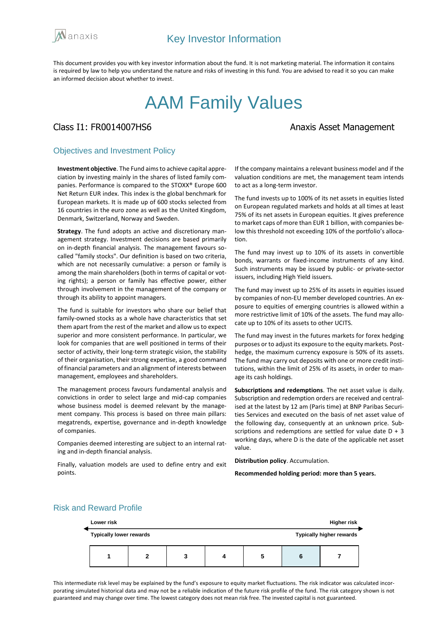

This document provides you with key investor information about the fund. It is not marketing material. The information it contains is required by law to help you understand the nature and risks of investing in this fund. You are advised to read it so you can make an informed decision about whether to invest.

# AAM Family Values

# Class I1: FR0014007HS6 Anaxis Asset Management

#### Objectives and Investment Policy

**Investment objective**. The Fund aims to achieve capital appreciation by investing mainly in the shares of listed family companies. Performance is compared to the STOXX® Europe 600 Net Return EUR index. This index is the global benchmark for European markets. It is made up of 600 stocks selected from 16 countries in the euro zone as well as the United Kingdom, Denmark, Switzerland, Norway and Sweden.

**Strategy**. The fund adopts an active and discretionary management strategy. Investment decisions are based primarily on in-depth financial analysis. The management favours socalled "family stocks". Our definition is based on two criteria, which are not necessarily cumulative: a person or family is among the main shareholders (both in terms of capital or voting rights); a person or family has effective power, either through involvement in the management of the company or through its ability to appoint managers.

The fund is suitable for investors who share our belief that family-owned stocks as a whole have characteristics that set them apart from the rest of the market and allow us to expect superior and more consistent performance. In particular, we look for companies that are well positioned in terms of their sector of activity, their long-term strategic vision, the stability of their organisation, their strong expertise, a good command of financial parameters and an alignment of interests between management, employees and shareholders.

The management process favours fundamental analysis and convictions in order to select large and mid-cap companies whose business model is deemed relevant by the management company. This process is based on three main pillars: megatrends, expertise, governance and in-depth knowledge of companies.

Companies deemed interesting are subject to an internal rating and in-depth financial analysis.

Finally, valuation models are used to define entry and exit points.

If the company maintains a relevant business model and if the valuation conditions are met, the management team intends to act as a long-term investor.

The fund invests up to 100% of its net assets in equities listed on European regulated markets and holds at all times at least 75% of its net assets in European equities. It gives preference to market caps of more than EUR 1 billion, with companies below this threshold not exceeding 10% of the portfolio's allocation.

The fund may invest up to 10% of its assets in convertible bonds, warrants or fixed-income instruments of any kind. Such instruments may be issued by public- or private-sector issuers, including High Yield issuers.

The fund may invest up to 25% of its assets in equities issued by companies of non-EU member developed countries. An exposure to equities of emerging countries is allowed within a more restrictive limit of 10% of the assets. The fund may allocate up to 10% of its assets to other UCITS.

The fund may invest in the futures markets for forex hedging purposes or to adjust its exposure to the equity markets. Posthedge, the maximum currency exposure is 50% of its assets. The fund may carry out deposits with one or more credit institutions, within the limit of 25% of its assets, in order to manage its cash holdings.

**Subscriptions and redemptions**. The net asset value is daily. Subscription and redemption orders are received and centralised at the latest by 12 am (Paris time) at BNP Paribas Securities Services and executed on the basis of net asset value of the following day, consequently at an unknown price. Subscriptions and redemptions are settled for value date  $D + 3$ working days, where D is the date of the applicable net asset value.

**Distribution policy**. Accumulation.

**Recommended holding period: more than 5 years.**

# Risk and Reward Profile

| Lower risk                     |   |  |  | <b>Higher risk</b> |   |                                 |
|--------------------------------|---|--|--|--------------------|---|---------------------------------|
| <b>Typically lower rewards</b> |   |  |  |                    |   | <b>Typically higher rewards</b> |
|                                | າ |  |  | 5                  | o |                                 |

This intermediate risk level may be explained by the fund's exposure to equity market fluctuations. The risk indicator was calculated incorporating simulated historical data and may not be a reliable indication of the future risk profile of the fund. The risk category shown is not guaranteed and may change over time. The lowest category does not mean risk free. The invested capital is not guaranteed.